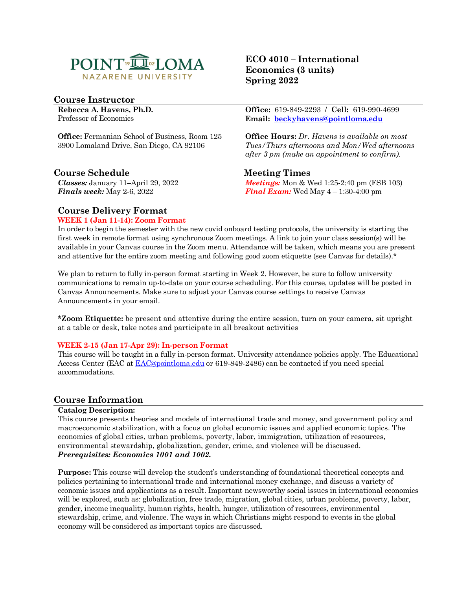

## **Course Instructor**

**Rebecca A. Havens, Ph.D.** Professor of Economics

**Office:** Fermanian School of Business, Room 125 3900 Lomaland Drive, San Diego, CA 92106

## **Course Schedule Meeting Times**

*Classes:* January 11–April 29, 2022 *Finals week:* May 2-6, 2022

**ECO 4010 – International Economics (3 units) Spring 2022**

**Office:** 619-849-2293 / **Cell:** 619-990-4699 **Email: [beckyhavens@pointloma.edu](mailto:beckyhavens@pointloma.edu)**

**Office Hours:** *Dr. Havens is available on most Tues/Thurs afternoons and Mon/Wed afternoons after 3 pm (make an appointment to confirm).*

*Meetings:* Mon & Wed 1:25-2:40 pm (FSB 103) *Final Exam:* Wed May  $4 - 1:30 - 4:00$  pm

### **Course Delivery Format**

#### **WEEK 1 (Jan 11-14): Zoom Format**

In order to begin the semester with the new covid onboard testing protocols, the university is starting the first week in remote format using synchronous Zoom meetings. A link to join your class session(s) will be available in your Canvas course in the Zoom menu. Attendance will be taken, which means you are present and attentive for the entire zoom meeting and following good zoom etiquette (see Canvas for details).\*

We plan to return to fully in-person format starting in Week 2. However, be sure to follow university communications to remain up-to-date on your course scheduling. For this course, updates will be posted in Canvas Announcements. Make sure to adjust your Canvas course settings to receive Canvas Announcements in your email.

**\*Zoom Etiquette:** be present and attentive during the entire session, turn on your camera, sit upright at a table or desk, take notes and participate in all breakout activities

#### **WEEK 2-15 (Jan 17-Apr 29): In-person Format**

This course will be taught in a fully in-person format. University attendance policies apply. The Educational Access Center (EAC a[t EAC@pointloma.edu](mailto:EAC@pointloma.edu) or 619-849-2486) can be contacted if you need special accommodations.

#### **Course Information**

#### **Catalog Description:**

This course presents theories and models of international trade and money, and government policy and macroeconomic stabilization, with a focus on global economic issues and applied economic topics. The economics of global cities, urban problems, poverty, labor, immigration, utilization of resources, environmental stewardship, globalization, gender, crime, and violence will be discussed. *Prerequisites: Economics 1001 and 1002.*

**Purpose:** This course will develop the student's understanding of foundational theoretical concepts and policies pertaining to international trade and international money exchange, and discuss a variety of economic issues and applications as a result. Important newsworthy social issues in international economics will be explored, such as: globalization, free trade, migration, global cities, urban problems, poverty, labor, gender, income inequality, human rights, health, hunger, utilization of resources, environmental stewardship, crime, and violence. The ways in which Christians might respond to events in the global economy will be considered as important topics are discussed.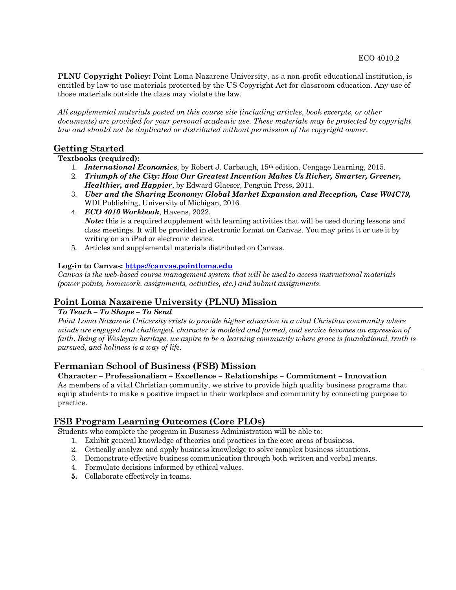**PLNU Copyright Policy:** Point Loma Nazarene University, as a non-profit educational institution, is entitled by law to use materials protected by the US Copyright Act for classroom education. Any use of those materials outside the class may violate the law.

*All supplemental materials posted on this course site (including articles, book excerpts, or other documents) are provided for your personal academic use. These materials may be protected by copyright law and should not be duplicated or distributed without permission of the copyright owner.*

## **Getting Started**

#### **Textbooks (required):**

- 1. *International Economics*, by Robert J. Carbaugh, 15th edition, Cengage Learning, 2015.
- 2. *Triumph of the City: How Our Greatest Invention Makes Us Richer, Smarter, Greener, Healthier, and Happier*, by Edward Glaeser, Penguin Press, 2011.
- 3. *Uber and the Sharing Economy: Global Market Expansion and Reception, Case W04C79,*  WDI Publishing, University of Michigan, 2016.
- 4. *ECO 4010 Workbook*, Havens, 2022. *Note:* this is a required supplement with learning activities that will be used during lessons and class meetings. It will be provided in electronic format on Canvas. You may print it or use it by writing on an iPad or electronic device.
- 5. Articles and supplemental materials distributed on Canvas.

#### **Log-in to Canvas: [https://canvas.pointloma.edu](https://canvas.pointloma.edu/)**

*Canvas is the web-based course management system that will be used to access instructional materials (power points, homework, assignments, activities, etc.) and submit assignments.*

## **Point Loma Nazarene University (PLNU) Mission**

#### *To Teach – To Shape – To Send*

*Point Loma Nazarene University exists to provide higher education in a vital Christian community where minds are engaged and challenged, character is modeled and formed, and service becomes an expression of faith. Being of Wesleyan heritage, we aspire to be a learning community where grace is foundational, truth is pursued, and holiness is a way of life.*

#### **Fermanian School of Business (FSB) Mission**

#### **Character – Professionalism – Excellence – Relationships – Commitment – Innovation**

As members of a vital Christian community, we strive to provide high quality business programs that equip students to make a positive impact in their workplace and community by connecting purpose to practice.

## **FSB Program Learning Outcomes (Core PLOs)**

Students who complete the program in Business Administration will be able to:

- 1. Exhibit general knowledge of theories and practices in the core areas of business.
- 2. Critically analyze and apply business knowledge to solve complex business situations.
- 3. Demonstrate effective business communication through both written and verbal means.
- 4. Formulate decisions informed by ethical values.
- **5.** Collaborate effectively in teams.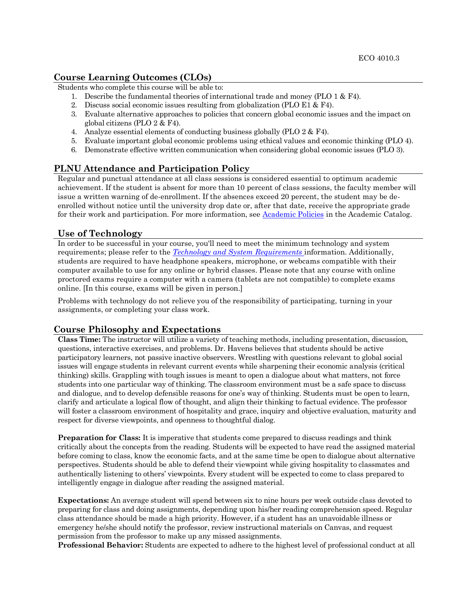### **Course Learning Outcomes (CLOs)**

Students who complete this course will be able to:

- 1. Describe the fundamental theories of international trade and money (PLO 1 & F4).
- 2. Discuss social economic issues resulting from globalization (PLO E1 & F4).
- 3. Evaluate alternative approaches to policies that concern global economic issues and the impact on global citizens (PLO 2 & F4).
- 4. Analyze essential elements of conducting business globally (PLO 2 & F4).
- 5. Evaluate important global economic problems using ethical values and economic thinking (PLO 4).
- 6. Demonstrate effective written communication when considering global economic issues (PLO 3).

## **PLNU Attendance and Participation Policy**

Regular and punctual attendance at all class sessions is considered essential to optimum academic achievement. If the student is absent for more than 10 percent of class sessions, the faculty member will issue a written warning of de-enrollment. If the absences exceed 20 percent, the student may be deenrolled without notice until the university drop date or, after that date, receive the appropriate grade for their work and participation. For more information, see [Academic Policies](https://catalog.pointloma.edu/content.php?catoid=52&navoid=2919) in the Academic Catalog.

#### **Use of Technology**

In order to be successful in your course, you'll need to meet the minimum technology and system requirements; please refer to the *[Technology and System Requirements](https://help.pointloma.edu/TDClient/1808/Portal/KB/ArticleDet?ID=108349)* information. Additionally, students are required to have headphone speakers, microphone, or webcams compatible with their computer available to use for any online or hybrid classes. Please note that any course with online proctored exams require a computer with a camera (tablets are not compatible) to complete exams online. [In this course, exams will be given in person.]

Problems with technology do not relieve you of the responsibility of participating, turning in your assignments, or completing your class work.

## **Course Philosophy and Expectations**

**Class Time:** The instructor will utilize a variety of teaching methods, including presentation, discussion, questions, interactive exercises, and problems. Dr. Havens believes that students should be active participatory learners, not passive inactive observers. Wrestling with questions relevant to global social issues will engage students in relevant current events while sharpening their economic analysis (critical thinking) skills. Grappling with tough issues is meant to open a dialogue about what matters, not force students into one particular way of thinking. The classroom environment must be a safe space to discuss and dialogue, and to develop defensible reasons for one's way of thinking. Students must be open to learn, clarify and articulate a logical flow of thought, and align their thinking to factual evidence. The professor will foster a classroom environment of hospitality and grace, inquiry and objective evaluation, maturity and respect for diverse viewpoints, and openness to thoughtful dialog.

**Preparation for Class:** It is imperative that students come prepared to discuss readings and think critically about the concepts from the reading. Students will be expected to have read the assigned material before coming to class, know the economic facts, and at the same time be open to dialogue about alternative perspectives. Students should be able to defend their viewpoint while giving hospitality to classmates and authentically listening to others' viewpoints. Every student will be expected to come to class prepared to intelligently engage in dialogue after reading the assigned material.

**Expectations:** An average student will spend between six to nine hours per week outside class devoted to preparing for class and doing assignments, depending upon his/her reading comprehension speed. Regular class attendance should be made a high priority. However, if a student has an unavoidable illness or emergency he/she should notify the professor, review instructional materials on Canvas, and request permission from the professor to make up any missed assignments.

**Professional Behavior:** Students are expected to adhere to the highest level of professional conduct at all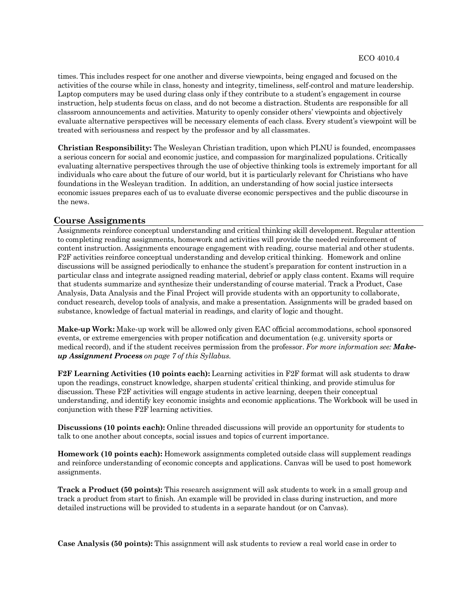times. This includes respect for one another and diverse viewpoints, being engaged and focused on the activities of the course while in class, honesty and integrity, timeliness, self-control and mature leadership. Laptop computers may be used during class only if they contribute to a student's engagement in course instruction, help students focus on class, and do not become a distraction. Students are responsible for all classroom announcements and activities. Maturity to openly consider others' viewpoints and objectively evaluate alternative perspectives will be necessary elements of each class. Every student's viewpoint will be treated with seriousness and respect by the professor and by all classmates.

**Christian Responsibility:** The Wesleyan Christian tradition, upon which PLNU is founded, encompasses a serious concern for social and economic justice, and compassion for marginalized populations. Critically evaluating alternative perspectives through the use of objective thinking tools is extremely important for all individuals who care about the future of our world, but it is particularly relevant for Christians who have foundations in the Wesleyan tradition. In addition, an understanding of how social justice intersects economic issues prepares each of us to evaluate diverse economic perspectives and the public discourse in the news.

## **Course Assignments**

Assignments reinforce conceptual understanding and critical thinking skill development. Regular attention to completing reading assignments, homework and activities will provide the needed reinforcement of content instruction. Assignments encourage engagement with reading, course material and other students. F2F activities reinforce conceptual understanding and develop critical thinking. Homework and online discussions will be assigned periodically to enhance the student's preparation for content instruction in a particular class and integrate assigned reading material, debrief or apply class content. Exams will require that students summarize and synthesize their understanding of course material. Track a Product, Case Analysis, Data Analysis and the Final Project will provide students with an opportunity to collaborate, conduct research, develop tools of analysis, and make a presentation. Assignments will be graded based on substance, knowledge of factual material in readings, and clarity of logic and thought.

**Make-up Work:** Make-up work will be allowed only given EAC official accommodations, school sponsored events, or extreme emergencies with proper notification and documentation (e.g. university sports or medical record), and if the student receives permission from the professor. *For more information see: Makeup Assignment Process on page 7 of this Syllabus.*

**F2F Learning Activities (10 points each):** Learning activities in F2F format will ask students to draw upon the readings, construct knowledge, sharpen students' critical thinking, and provide stimulus for discussion. These F2F activities will engage students in active learning, deepen their conceptual understanding, and identify key economic insights and economic applications. The Workbook will be used in conjunction with these F2F learning activities.

**Discussions (10 points each):** Online threaded discussions will provide an opportunity for students to talk to one another about concepts, social issues and topics of current importance.

**Homework (10 points each):** Homework assignments completed outside class will supplement readings and reinforce understanding of economic concepts and applications. Canvas will be used to post homework assignments.

**Track a Product (50 points):** This research assignment will ask students to work in a small group and track a product from start to finish. An example will be provided in class during instruction, and more detailed instructions will be provided to students in a separate handout (or on Canvas).

**Case Analysis (50 points):** This assignment will ask students to review a real world case in order to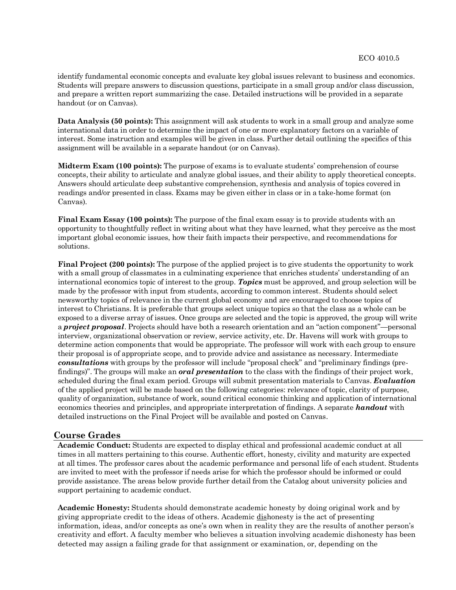identify fundamental economic concepts and evaluate key global issues relevant to business and economics. Students will prepare answers to discussion questions, participate in a small group and/or class discussion, and prepare a written report summarizing the case. Detailed instructions will be provided in a separate handout (or on Canvas).

**Data Analysis (50 points):** This assignment will ask students to work in a small group and analyze some international data in order to determine the impact of one or more explanatory factors on a variable of interest. Some instruction and examples will be given in class. Further detail outlining the specifics of this assignment will be available in a separate handout (or on Canvas).

**Midterm Exam (100 points):** The purpose of exams is to evaluate students' comprehension of course concepts, their ability to articulate and analyze global issues, and their ability to apply theoretical concepts. Answers should articulate deep substantive comprehension, synthesis and analysis of topics covered in readings and/or presented in class. Exams may be given either in class or in a take-home format (on Canvas).

**Final Exam Essay (100 points):** The purpose of the final exam essay is to provide students with an opportunity to thoughtfully reflect in writing about what they have learned, what they perceive as the most important global economic issues, how their faith impacts their perspective, and recommendations for solutions.

**Final Project (200 points):** The purpose of the applied project is to give students the opportunity to work with a small group of classmates in a culminating experience that enriches students' understanding of an international economics topic of interest to the group. *Topics* must be approved, and group selection will be made by the professor with input from students, according to common interest. Students should select newsworthy topics of relevance in the current global economy and are encouraged to choose topics of interest to Christians. It is preferable that groups select unique topics so that the class as a whole can be exposed to a diverse array of issues. Once groups are selected and the topic is approved, the group will write a *project proposal*. Projects should have both a research orientation and an "action component"—personal interview, organizational observation or review, service activity, etc. Dr. Havens will work with groups to determine action components that would be appropriate. The professor will work with each group to ensure their proposal is of appropriate scope, and to provide advice and assistance as necessary. Intermediate *consultations* with groups by the professor will include "proposal check" and "preliminary findings (prefindings)". The groups will make an *oral presentation* to the class with the findings of their project work, scheduled during the final exam period. Groups will submit presentation materials to Canvas. *Evaluation* of the applied project will be made based on the following categories: relevance of topic, clarity of purpose, quality of organization, substance of work, sound critical economic thinking and application of international economics theories and principles, and appropriate interpretation of findings. A separate *handout* with detailed instructions on the Final Project will be available and posted on Canvas.

#### **Course Grades**

**Academic Conduct:** Students are expected to display ethical and professional academic conduct at all times in all matters pertaining to this course. Authentic effort, honesty, civility and maturity are expected at all times. The professor cares about the academic performance and personal life of each student. Students are invited to meet with the professor if needs arise for which the professor should be informed or could provide assistance. The areas below provide further detail from the Catalog about university policies and support pertaining to academic conduct.

**Academic Honesty:** Students should demonstrate academic honesty by doing original work and by giving appropriate credit to the ideas of others. Academic dishonesty is the act of presenting information, ideas, and/or concepts as one's own when in reality they are the results of another person's creativity and effort. A faculty member who believes a situation involving academic dishonesty has been detected may assign a failing grade for that assignment or examination, or, depending on the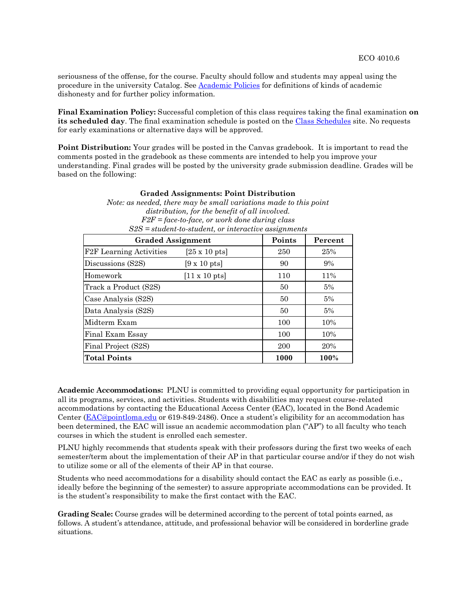seriousness of the offense, for the course. Faculty should follow and students may appeal using the procedure in the university Catalog. See [Academic Policies](https://catalog.pointloma.edu/content.php?catoid=52&navoid=2919#Academic_Honesty) for definitions of kinds of academic dishonesty and for further policy information.

**Final Examination Policy:** Successful completion of this class requires taking the final examination **on**  its scheduled day. The final examination schedule is posted on the [Class Schedules](http://www.pointloma.edu/experience/academics/class-schedules) site. No requests for early examinations or alternative days will be approved.

**Point Distribution:** Your grades will be posted in the Canvas gradebook. It is important to read the comments posted in the gradebook as these comments are intended to help you improve your understanding. Final grades will be posted by the university grade submission deadline. Grades will be based on the following:

| <b>Graded Assignments: Point Distribution</b>                     |  |  |  |  |  |  |
|-------------------------------------------------------------------|--|--|--|--|--|--|
| Note: as needed, there may be small variations made to this point |  |  |  |  |  |  |
| distribution, for the benefit of all involved.                    |  |  |  |  |  |  |
| $F2F = face-to-face$ , or work done during class                  |  |  |  |  |  |  |
| $S2S = student-to-student, or interactive assignments$            |  |  |  |  |  |  |
| <b>Graded Assignment</b><br>Points<br>Percent                     |  |  |  |  |  |  |

| <b>Graded Assignment</b>       |                              | Points | Percent |
|--------------------------------|------------------------------|--------|---------|
| <b>F2F</b> Learning Activities | $[25 \times 10 \text{ pts}]$ | 250    | 25%     |
| Discussions (S2S)              | $[9 \times 10 \text{ pts}]$  | 90     | $9\%$   |
| Homework                       | $[11 \times 10 \text{ pts}]$ | 110    | 11%     |
| Track a Product (S2S)          |                              | 50     | 5%      |
| Case Analysis (S2S)            |                              | 50     | 5%      |
| Data Analysis (S2S)            |                              | 50     | 5%      |
| Midterm Exam                   |                              | 100    | 10%     |
| Final Exam Essay               |                              | 100    | 10%     |
| Final Project (S2S)            |                              | 200    | 20%     |
| <b>Total Points</b>            |                              | 1000   | 100%    |

**Academic Accommodations:** PLNU is committed to providing equal opportunity for participation in all its programs, services, and activities. Students with disabilities may request course-related accommodations by contacting the Educational Access Center (EAC), located in the Bond Academic Center [\(EAC@pointloma.edu](mailto:EAC@pointloma.edu) or 619-849-2486). Once a student's eligibility for an accommodation has been determined, the EAC will issue an academic accommodation plan ("AP") to all faculty who teach courses in which the student is enrolled each semester.

PLNU highly recommends that students speak with their professors during the first two weeks of each semester/term about the implementation of their AP in that particular course and/or if they do not wish to utilize some or all of the elements of their AP in that course.

Students who need accommodations for a disability should contact the EAC as early as possible (i.e., ideally before the beginning of the semester) to assure appropriate accommodations can be provided. It is the student's responsibility to make the first contact with the EAC.

**Grading Scale:** Course grades will be determined according to the percent of total points earned, as follows. A student's attendance, attitude, and professional behavior will be considered in borderline grade situations.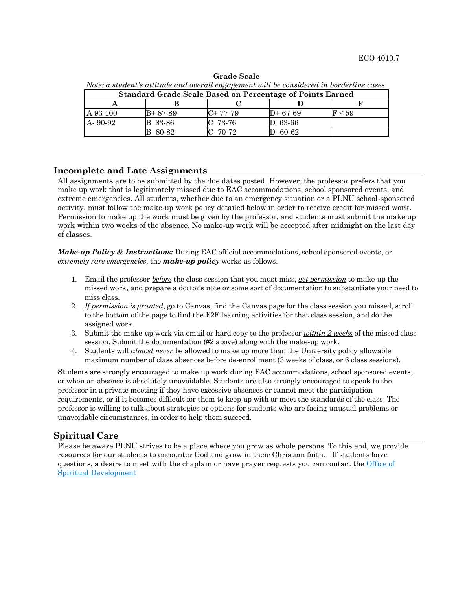| Note: a student's attitude and overall engagement will be considered in borderline cases. |          |           |               |              |  |  |  |  |
|-------------------------------------------------------------------------------------------|----------|-----------|---------------|--------------|--|--|--|--|
| <b>Standard Grade Scale Based on Percentage of Points Earned</b>                          |          |           |               |              |  |  |  |  |
|                                                                                           |          |           |               |              |  |  |  |  |
| A 93-100                                                                                  | B+ 87-89 | $C+77-79$ | D+ 67-69      | $\rm F$ < 59 |  |  |  |  |
| A-90-92                                                                                   | B 83-86  | $C$ 73-76 | $D$ 63-66     |              |  |  |  |  |
|                                                                                           | B-80-82  | $C-70-72$ | $D - 60 - 62$ |              |  |  |  |  |

**Grade Scale**

## **Incomplete and Late Assignments**

All assignments are to be submitted by the due dates posted. However, the professor prefers that you make up work that is legitimately missed due to EAC accommodations, school sponsored events, and extreme emergencies. All students, whether due to an emergency situation or a PLNU school-sponsored activity, must follow the make-up work policy detailed below in order to receive credit for missed work. Permission to make up the work must be given by the professor, and students must submit the make up work within two weeks of the absence. No make-up work will be accepted after midnight on the last day of classes.

*Make-up Policy & Instructions:* During EAC official accommodations, school sponsored events, or *extremely rare emergencies*, the *make-up policy* works as follows.

- 1. Email the professor *before* the class session that you must miss, *get permission* to make up the missed work, and prepare a doctor's note or some sort of documentation to substantiate your need to miss class.
- 2. *If permission is granted*, go to Canvas, find the Canvas page for the class session you missed, scroll to the bottom of the page to find the F2F learning activities for that class session, and do the assigned work.
- 3. Submit the make-up work via email or hard copy to the professor *within 2 weeks* of the missed class session. Submit the documentation (#2 above) along with the make-up work.
- 4. Students will *almost never* be allowed to make up more than the University policy allowable maximum number of class absences before de-enrollment (3 weeks of class, or 6 class sessions).

Students are strongly encouraged to make up work during EAC accommodations, school sponsored events, or when an absence is absolutely unavoidable. Students are also strongly encouraged to speak to the professor in a private meeting if they have excessive absences or cannot meet the participation requirements, or if it becomes difficult for them to keep up with or meet the standards of the class. The professor is willing to talk about strategies or options for students who are facing unusual problems or unavoidable circumstances, in order to help them succeed.

#### **Spiritual Care**

Please be aware PLNU strives to be a place where you grow as whole persons. To this end, we provide resources for our students to encounter God and grow in their Christian faith. If students have questions, a desire to meet with the chaplain or have prayer requests you can contact the [Office of](https://www.pointloma.edu/offices/spiritual-development)  [Spiritual Development](https://www.pointloma.edu/offices/spiritual-development)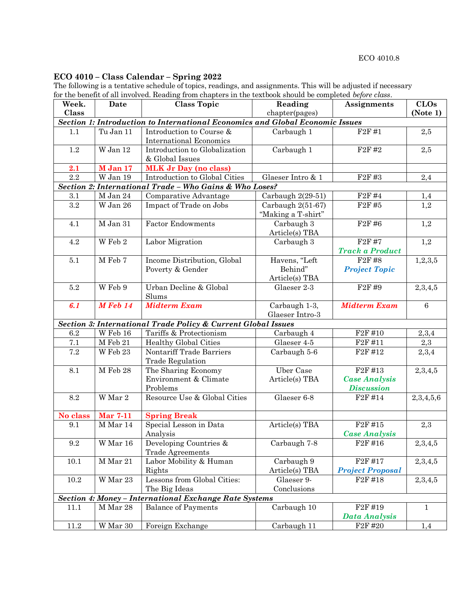# **ECO 4010 – Class Calendar – Spring 2022**

The following is a tentative schedule of topics, readings, and assignments. This will be adjusted if necessary for the benefit of all involved. Reading from chapters in the textbook should be completed *before class*.

| Week.    | <b>Date</b>                        | <b>Class Topic</b>                                                            | Reading                                   | <b>Assignments</b>              | <b>CLOs</b>     |
|----------|------------------------------------|-------------------------------------------------------------------------------|-------------------------------------------|---------------------------------|-----------------|
| Class    |                                    |                                                                               | chapter(pages)                            |                                 | (Note 1)        |
|          |                                    | Section 1: Introduction to International Economics and Global Economic Issues |                                           |                                 |                 |
| 1.1      | Tu Jan 11                          | Introduction to Course &                                                      | Carbaugh 1                                | F2F#1                           | 2,5             |
|          |                                    | <b>International Economics</b>                                                |                                           |                                 |                 |
| 1.2      | W Jan 12                           | Introduction to Globalization                                                 | Carbaugh 1                                | F <sub>2F</sub> #2              | 2,5             |
|          |                                    | & Global Issues                                                               |                                           |                                 |                 |
| 2.1      | M Jan 17                           | <b>MLK Jr Day (no class)</b>                                                  |                                           |                                 |                 |
| 2.2      | W Jan 19                           | Introduction to Global Cities                                                 | Glaeser Intro & 1                         | F <sub>2F</sub> #3              | 2,4             |
|          |                                    | Section 2: International Trade - Who Gains & Who Loses?                       |                                           |                                 |                 |
| 3.1      | M Jan 24                           | Comparative Advantage                                                         | Carbaugh $2(29-51)$                       | F <sub>2F</sub> #4              | 1,4             |
| $3.2\,$  | W Jan 26                           | Impact of Trade on Jobs                                                       | Carbaugh $2(51-67)$<br>"Making a T-shirt" | F <sub>2F</sub> #5              | 1,2             |
| 4.1      | $M$ Jan 31                         | <b>Factor Endowments</b>                                                      | Carbaugh 3<br>Article(s) TBA              | F <sub>2F</sub> #6              | 1,2             |
| 4.2      | W Feb $2$                          | Labor Migration                                                               | Carbaugh 3                                | F <sub>2F</sub> #7              | 1,2             |
|          |                                    |                                                                               |                                           | <b>Track a Product</b>          |                 |
| 5.1      | M Feb 7                            | Income Distribution, Global                                                   | Havens, "Left                             | F <sub>2F</sub> #8              | 1, 2, 3, 5      |
|          |                                    | Poverty & Gender                                                              | Behind"                                   | <b>Project Topic</b>            |                 |
|          |                                    |                                                                               | Article(s) TBA                            |                                 |                 |
| $5.2\,$  | W Feb 9                            | Urban Decline & Global<br>Slums                                               | Glaeser 2-3                               | F <sub>2F</sub> #9              | 2,3,4,5         |
| 6.1      | $M$ Feb 14                         | <b>Midterm Exam</b>                                                           | Carbaugh 1-3,<br>Glaeser Intro-3          | <b>Midterm Exam</b>             | $6\phantom{1}6$ |
|          |                                    | Section 3: International Trade Policy & Current Global Issues                 |                                           |                                 |                 |
| 6.2      | W Feb 16                           | Tariffs & Protectionism                                                       | Carbaugh 4                                | $\overline{F2F}$ #10            | 2,3,4           |
| 7.1      | M Feb 21                           | <b>Healthy Global Cities</b>                                                  | Glaeser 4-5                               | F <sub>2</sub> F #11            | 2,3             |
| 7.2      | W Feb 23                           | Nontariff Trade Barriers                                                      | Carbaugh 5-6                              | F <sub>2F</sub> #1 <sub>2</sub> | 2,3,4           |
|          |                                    | <b>Trade Regulation</b>                                                       |                                           |                                 |                 |
| 8.1      | M Feb 28                           | The Sharing Economy                                                           | <b>Uber Case</b>                          | F <sub>2F</sub> #13             | 2,3,4,5         |
|          |                                    | Environment & Climate                                                         | Article(s) TBA                            | <b>Case Analysis</b>            |                 |
|          |                                    | Problems                                                                      |                                           | <b>Discussion</b>               |                 |
| 8.2      | $\overline{\text{W} \text{Mar}}$ 2 | Resource Use & Global Cities                                                  | Glaeser 6-8                               | F2F#14                          | 2,3,4,5,6       |
| No class | <b>Mar 7-11</b>                    | <b>Spring Break</b>                                                           |                                           |                                 |                 |
| 9.1      | M Mar 14                           | Special Lesson in Data                                                        | Article(s) TBA                            | F <sub>2F</sub> #15             | 2,3             |
|          |                                    | Analysis                                                                      |                                           | <b>Case Analysis</b>            |                 |
| 9.2      | W Mar 16                           | Developing Countries &                                                        | Carbaugh 7-8                              | F <sub>2F</sub> #16             | 2,3,4,5         |
|          |                                    | <b>Trade Agreements</b>                                                       |                                           |                                 |                 |
| 10.1     | M Mar 21                           | Labor Mobility & Human                                                        | Carbaugh 9                                | F <sub>2F</sub> #17             | 2,3,4,5         |
|          |                                    | Rights                                                                        | Article(s) TBA                            | <b>Project Proposal</b>         |                 |
| $10.2\,$ | W Mar 23                           | Lessons from Global Cities:                                                   | Glaeser 9-                                | F <sub>2F</sub> #18             | 2,3,4,5         |
|          |                                    | The Big Ideas                                                                 | Conclusions                               |                                 |                 |
|          |                                    | Section 4: Money - International Exchange Rate Systems                        |                                           |                                 |                 |
| 11.1     | M Mar 28                           | <b>Balance of Payments</b>                                                    | Carbaugh 10                               | F <sub>2F</sub> #19             | $\mathbf{1}$    |
|          |                                    |                                                                               |                                           | Data Analysis                   |                 |
| $11.2\,$ | W Mar 30                           | Foreign Exchange                                                              | Carbaugh 11                               | F <sub>2F</sub> #20             | 1,4             |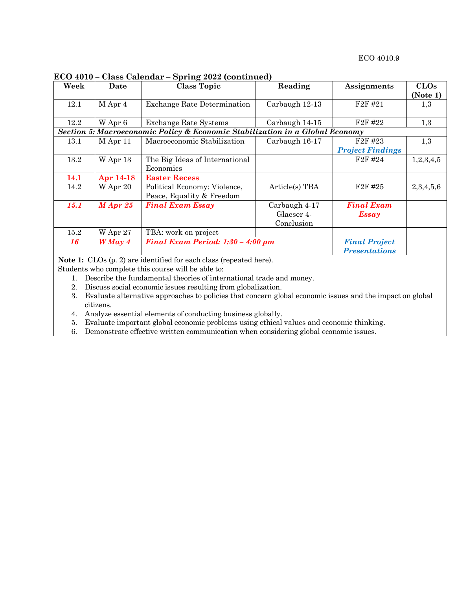**ECO 4010 – Class Calendar – Spring 2022 (continued)**

| Week        | Date       | $-222$<br><b>Class Topic</b>                                                 | Reading        | <b>Assignments</b>      | CLOs<br>(Note 1) |
|-------------|------------|------------------------------------------------------------------------------|----------------|-------------------------|------------------|
|             |            |                                                                              |                |                         |                  |
| 12.1        | M Apr 4    | <b>Exchange Rate Determination</b>                                           | Carbaugh 12-13 | F <sub>2</sub> F #21    | 1,3              |
|             |            |                                                                              |                |                         |                  |
| 12.2        | W Apr 6    | <b>Exchange Rate Systems</b>                                                 | Carbaugh 14-15 | F2F#22                  | 1,3              |
|             |            | Section 5: Macroeconomic Policy & Economic Stabilization in a Global Economy |                |                         |                  |
| 13.1        | M Apr 11   | Macroeconomic Stabilization                                                  | Carbaugh 16-17 | F <sub>2F</sub> #23     | 1,3              |
|             |            |                                                                              |                | <b>Project Findings</b> |                  |
| 13.2        | W Apr 13   | The Big Ideas of International                                               |                | F <sub>2</sub> F #24    | 1,2,3,4,5        |
|             |            | Economics                                                                    |                |                         |                  |
| 14.1        | Apr 14-18  | <b>Easter Recess</b>                                                         |                |                         |                  |
| 14.2        | W Apr 20   | Political Economy: Violence,                                                 | Article(s) TBA | F <sub>2F</sub> #25     | 2,3,4,5,6        |
|             |            | Peace, Equality & Freedom                                                    |                |                         |                  |
| <b>15.1</b> | $M$ Apr 25 | <b>Final Exam Essay</b>                                                      | Carbaugh 4-17  | <b>Final Exam</b>       |                  |
|             |            |                                                                              | Glaeser 4-     | <b>Essay</b>            |                  |
|             |            |                                                                              | Conclusion     |                         |                  |
| $15.2\,$    | W Apr 27   | TBA: work on project                                                         |                |                         |                  |
| 16          | $WMay$ 4   | Final Exam Period: 1:30 - 4:00 pm                                            |                | <b>Final Project</b>    |                  |
|             |            |                                                                              |                | <b>Presentations</b>    |                  |

**Note 1:** CLOs (p. 2) are identified for each class (repeated here).

Students who complete this course will be able to:

- 1. Describe the fundamental theories of international trade and money.
- 2. Discuss social economic issues resulting from globalization.
- 3. Evaluate alternative approaches to policies that concern global economic issues and the impact on global citizens.
- 4. Analyze essential elements of conducting business globally.
- 5. Evaluate important global economic problems using ethical values and economic thinking.
- 6. Demonstrate effective written communication when considering global economic issues.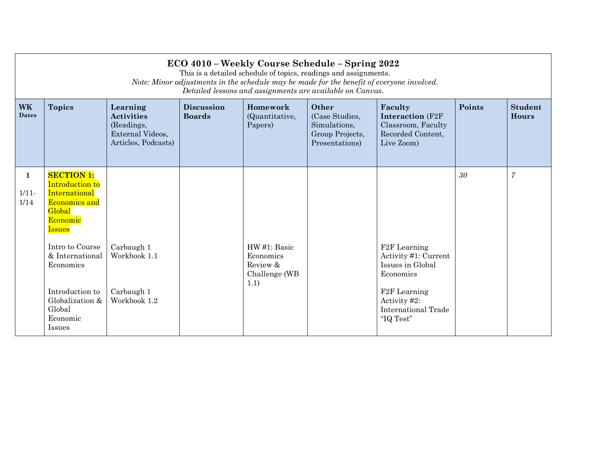|                           | ECO 4010 - Weekly Course Schedule - Spring 2022<br>This is a detailed schedule of topics, readings and assignments.<br>Note: Minor adjustments in the schedule may be made for the benefit of everyone involved.<br>Detailed lessons and assignments are available on Canvas. |                                                                                        |                                    |                                       |                                                                              |                                                                                                   |        |                                |  |
|---------------------------|-------------------------------------------------------------------------------------------------------------------------------------------------------------------------------------------------------------------------------------------------------------------------------|----------------------------------------------------------------------------------------|------------------------------------|---------------------------------------|------------------------------------------------------------------------------|---------------------------------------------------------------------------------------------------|--------|--------------------------------|--|
| <b>WK</b><br><b>Dates</b> | <b>Topics</b>                                                                                                                                                                                                                                                                 | Learning<br><b>Activities</b><br>(Readings,<br>External Videos,<br>Articles, Podcasts) | <b>Discussion</b><br><b>Boards</b> | Homework<br>(Quantitative,<br>Papers) | Other<br>(Case Studies,<br>Simulations,<br>Group Projects,<br>Presentations) | Faculty<br><b>Interaction</b> (F2F)<br>Classroom, Faculty<br>Recorded Content,<br>Live Zoom)      | Points | <b>Student</b><br><b>Hours</b> |  |
| 1<br>$1/11 -$<br>1/14     | <b>SECTION 1:</b><br><b>Introduction to</b><br>International<br><b>Economics and</b><br>Global<br>Economic<br><b>Issues</b><br>Intro to Course<br>& International<br>Economics                                                                                                | Carbaugh 1<br>Workbook 1.1                                                             |                                    | HW#1: Basic<br>Economics<br>Review &  |                                                                              | F <sub>2</sub> F Learning<br>Activity #1: Current<br>Issues in Global                             | 30     | $\overline{7}$                 |  |
|                           | Introduction to<br>Globalization &<br>Global<br>Economic<br><b>Issues</b>                                                                                                                                                                                                     | Carbaugh 1<br>Workbook 1.2                                                             |                                    | Challenge (WB<br>1.1)                 |                                                                              | Economics<br>F <sub>2</sub> F Learning<br>Activity #2:<br><b>International Trade</b><br>"IQ Test" |        |                                |  |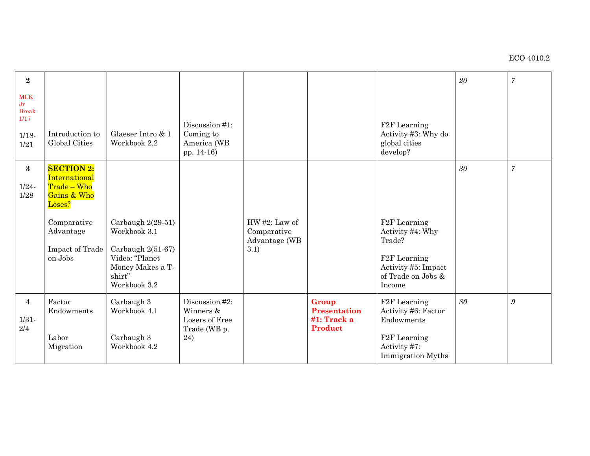| $\bf 2$                                                      |                                                                                                                                      |                                                                                                                          |                                                                      |                                                         |                                                        |                                                                                                                                             | 20 | $\boldsymbol{7}$ |
|--------------------------------------------------------------|--------------------------------------------------------------------------------------------------------------------------------------|--------------------------------------------------------------------------------------------------------------------------|----------------------------------------------------------------------|---------------------------------------------------------|--------------------------------------------------------|---------------------------------------------------------------------------------------------------------------------------------------------|----|------------------|
| <b>MLK</b><br>Jr<br><b>Break</b><br>1/17<br>$1/18 -$<br>1/21 | Introduction to<br><b>Global Cities</b>                                                                                              | Glaeser Intro & 1<br>Workbook 2.2                                                                                        | Discussion #1:<br>Coming to<br>America (WB<br>pp. 14-16)             |                                                         |                                                        | F <sub>2</sub> F Learning<br>Activity #3: Why do<br>global cities<br>develop?                                                               |    |                  |
| $\bf{3}$<br>$1/24 -$<br>$1/28$                               | <b>SECTION 2:</b><br>International<br>Trade - Who<br>Gains & Who<br>Loses?<br>Comparative<br>Advantage<br>Impact of Trade<br>on Jobs | Carbaugh $2(29-51)$<br>Workbook 3.1<br>Carbaugh 2(51-67)<br>Video: "Planet<br>Money Makes a T-<br>shirt"<br>Workbook 3.2 |                                                                      | $HW#2$ : Law of<br>Comparative<br>Advantage (WB<br>3.1) |                                                        | F <sub>2</sub> F Learning<br>Activity #4: Why<br>Trade?<br>F <sub>2</sub> F Learning<br>Activity #5: Impact<br>of Trade on Jobs &<br>Income | 30 | $\overline{7}$   |
| $\overline{4}$<br>$1/31 -$<br>2/4                            | Factor<br>Endowments<br>Labor<br>Migration                                                                                           | Carbaugh 3<br>Workbook 4.1<br>Carbaugh 3<br>Workbook 4.2                                                                 | Discussion #2:<br>Winners &<br>Losers of Free<br>Trade (WB p.<br>24) |                                                         | Group<br><b>Presentation</b><br>#1: Track a<br>Product | F <sub>2</sub> F Learning<br>Activity #6: Factor<br>Endowments<br>F <sub>2</sub> F Learning<br>Activity #7:<br>Immigration Myths            | 80 | 9                |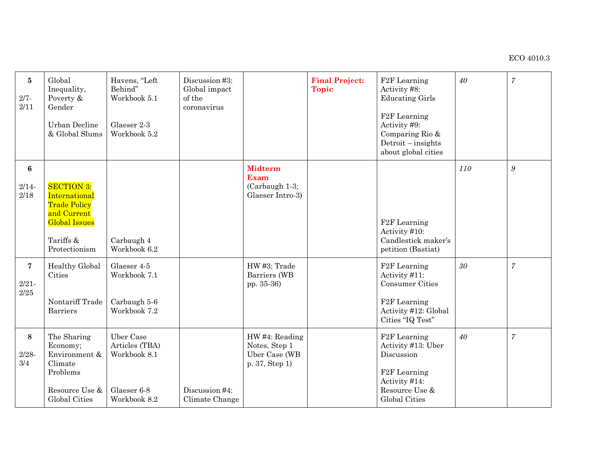| $\bf{5}$<br>$2/7 -$<br>2/11                | Global<br>Inequality,<br>Poverty &<br>Gender<br>Urban Decline<br>& Global Slums                                                | Havens, "Left<br>Behind"<br>Workbook 5.1<br>Glaeser 2-3<br>Workbook 5.2    | Discussion #3:<br>Global impact<br>of the<br>coronavirus |                                                                     | <b>Final Project:</b><br><b>Topic</b> | F <sub>2</sub> F Learning<br>Activity #8:<br><b>Educating Girls</b><br>F <sub>2</sub> F Learning<br>Activity #9:<br>Comparing Rio &<br>Detroit - insights<br>about global cities | 40              | $\overline{7}$   |
|--------------------------------------------|--------------------------------------------------------------------------------------------------------------------------------|----------------------------------------------------------------------------|----------------------------------------------------------|---------------------------------------------------------------------|---------------------------------------|----------------------------------------------------------------------------------------------------------------------------------------------------------------------------------|-----------------|------------------|
| 6<br>$2/14 -$<br>2/18                      | <b>SECTION 3:</b><br>International<br><b>Trade Policy</b><br>and Current<br><b>Global Issues</b><br>Tariffs &<br>Protectionism | Carbaugh 4<br>Workbook 6.2                                                 |                                                          | <b>Midterm</b><br><b>Exam</b><br>(Carbaugh 1-3;<br>Glaeser Intro-3) |                                       | F <sub>2</sub> F Learning<br>Activity #10:<br>Candlestick maker's<br>petition (Bastiat)                                                                                          | 110             | $\boldsymbol{g}$ |
| $\overline{7}$<br>$2/21 -$<br>$2\slash 25$ | <b>Healthy Global</b><br>Cities<br>Nontariff Trade<br><b>Barriers</b>                                                          | Glaeser 4-5<br>Workbook 7.1<br>Carbaugh 5-6<br>Workbook 7.2                |                                                          | HW #3: Trade<br>Barriers (WB<br>pp. 35-36)                          |                                       | F <sub>2</sub> F Learning<br>Activity #11:<br><b>Consumer Cities</b><br>F <sub>2</sub> F Learning<br>Activity #12: Global<br>Cities "IQ Test"                                    | 30 <sup>°</sup> | $\overline{7}$   |
| 8<br>$2/28 -$<br>3/4                       | The Sharing<br>Economy;<br>Environment &<br>Climate<br>Problems<br>Resource Use &<br><b>Global Cities</b>                      | Uber Case<br>Articles (TBA)<br>Workbook 8.1<br>Glaeser 6-8<br>Workbook 8.2 | Discussion #4:<br>Climate Change                         | HW#4: Reading<br>Notes, Step 1<br>Uber Case (WB<br>p. 37, Step 1)   |                                       | F <sub>2</sub> F Learning<br>Activity #13: Uber<br>Discussion<br>F <sub>2</sub> F Learning<br>Activity #14:<br>Resource Use &<br><b>Global Cities</b>                            | 40              | $\overline{7}$   |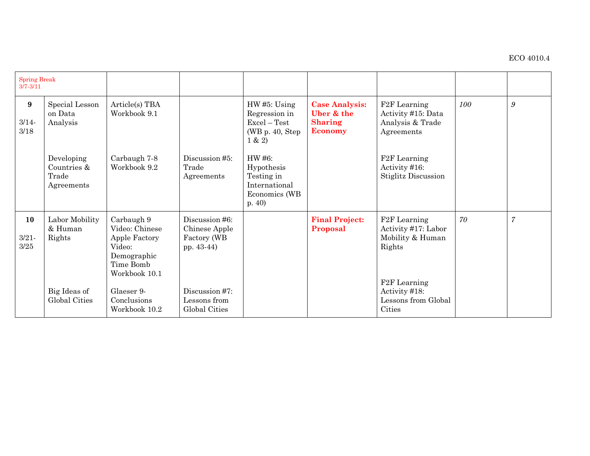| <b>Spring Break</b><br>$3/7 - 3/11$ |                                                  |                                                                                                      |                                                              |                                                                                              |                                                                         |                                                                                                             |     |                  |
|-------------------------------------|--------------------------------------------------|------------------------------------------------------------------------------------------------------|--------------------------------------------------------------|----------------------------------------------------------------------------------------------|-------------------------------------------------------------------------|-------------------------------------------------------------------------------------------------------------|-----|------------------|
| 9<br>$3/14 -$<br>3/18               | Special Lesson<br>on Data<br>Analysis            | Article(s) TBA<br>Workbook 9.1                                                                       |                                                              | HW#5: Using<br>Regression in<br>$\text{Excel} - \text{Test}$<br>(WB $p. 40$ , Step<br>1 & 2) | <b>Case Analysis:</b><br>Uber & the<br><b>Sharing</b><br><b>Economy</b> | F <sub>2</sub> F Learning<br>Activity #15: Data<br>Analysis & Trade<br>Agreements                           | 100 | $\boldsymbol{g}$ |
|                                     | Developing<br>Countries &<br>Trade<br>Agreements | Carbaugh 7-8<br>Workbook 9.2                                                                         | Discussion #5:<br>Trade<br>Agreements                        | HW #6:<br>Hypothesis<br>Testing in<br>International<br>Economics (WB<br>p.40                 |                                                                         | F <sub>2</sub> F Learning<br>Activity #16:<br><b>Stiglitz Discussion</b>                                    |     |                  |
| 10<br>$3/21 -$<br>3/25              | Labor Mobility<br>& Human<br>Rights              | Carbaugh 9<br>Video: Chinese<br>Apple Factory<br>Video:<br>Demographic<br>Time Bomb<br>Workbook 10.1 | Discussion #6:<br>Chinese Apple<br>Factory (WB<br>pp. 43-44) |                                                                                              | <b>Final Project:</b><br>Proposal                                       | F <sub>2</sub> F Learning<br>Activity #17: Labor<br>Mobility & Human<br>Rights<br>F <sub>2</sub> F Learning | 70  | $\overline{7}$   |
|                                     | Big Ideas of<br>Global Cities                    | Glaeser 9-<br>Conclusions<br>Workbook 10.2                                                           | Discussion #7:<br>Lessons from<br>Global Cities              |                                                                                              |                                                                         | Activity #18:<br>Lessons from Global<br>Cities                                                              |     |                  |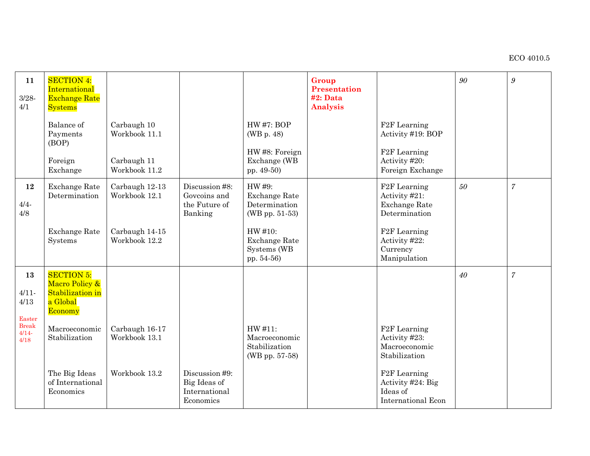## ECO 4010.5

| 11<br>$3/28 -$<br>4/1            | <b>SECTION 4:</b><br>International<br><b>Exchange Rate</b><br><b>Systems</b>   |                                 |                                                              |                                                             | Group<br>Presentation<br>#2: Data<br>Analysis |                                                                                         | 90 | $\boldsymbol{g}$ |
|----------------------------------|--------------------------------------------------------------------------------|---------------------------------|--------------------------------------------------------------|-------------------------------------------------------------|-----------------------------------------------|-----------------------------------------------------------------------------------------|----|------------------|
|                                  | Balance of<br>Payments<br>(BOP)                                                | Carbaugh 10<br>Workbook 11.1    |                                                              | <b>HW#7: BOP</b><br>(WB p. 48)<br>HW#8: Foreign             |                                               | F <sub>2</sub> F Learning<br>Activity #19: BOP<br>F <sub>2F</sub> Learning              |    |                  |
|                                  | Foreign<br>Exchange                                                            | Carbaugh 11<br>Workbook 11.2    |                                                              | Exchange (WB<br>pp. 49-50)                                  |                                               | Activity #20:<br>Foreign Exchange                                                       |    |                  |
| 12<br>$4/4 -$<br>4/8             | <b>Exchange Rate</b><br>Determination                                          | Carbaugh 12-13<br>Workbook 12.1 | Discussion #8:<br>Govcoins and<br>the Future of<br>Banking   | HW #9:<br>Exchange Rate<br>Determination<br>(WB pp. 51-53)  |                                               | F <sub>2</sub> F Learning<br>Activity #21:<br><b>Exchange Rate</b><br>Determination     | 50 | $\overline{7}$   |
|                                  | <b>Exchange Rate</b><br>Systems                                                | Carbaugh 14-15<br>Workbook 12.2 |                                                              | HW #10:<br>Exchange Rate<br>Systems (WB<br>pp. 54-56)       |                                               | F <sub>2</sub> F Learning<br>Activity #22:<br>Currency<br>Manipulation                  |    |                  |
| 13<br>$4/11 -$<br>4/13<br>Easter | <b>SECTION 5:</b><br>Macro Policy &<br>Stabilization in<br>a Global<br>Economy |                                 |                                                              |                                                             |                                               |                                                                                         | 40 | $\overline{7}$   |
| <b>Break</b><br>$4/14-$<br>4/18  | Macroeconomic<br>Stabilization                                                 | Carbaugh 16-17<br>Workbook 13.1 |                                                              | HW #11:<br>Macroeconomic<br>Stabilization<br>(WB pp. 57-58) |                                               | F <sub>2</sub> F Learning<br>Activity #23:<br>Macroeconomic<br>Stabilization            |    |                  |
|                                  | The Big Ideas<br>of International<br>Economics                                 | Workbook 13.2                   | Discussion #9:<br>Big Ideas of<br>International<br>Economics |                                                             |                                               | F <sub>2</sub> F Learning<br>Activity #24: Big<br>Ideas of<br><b>International Econ</b> |    |                  |